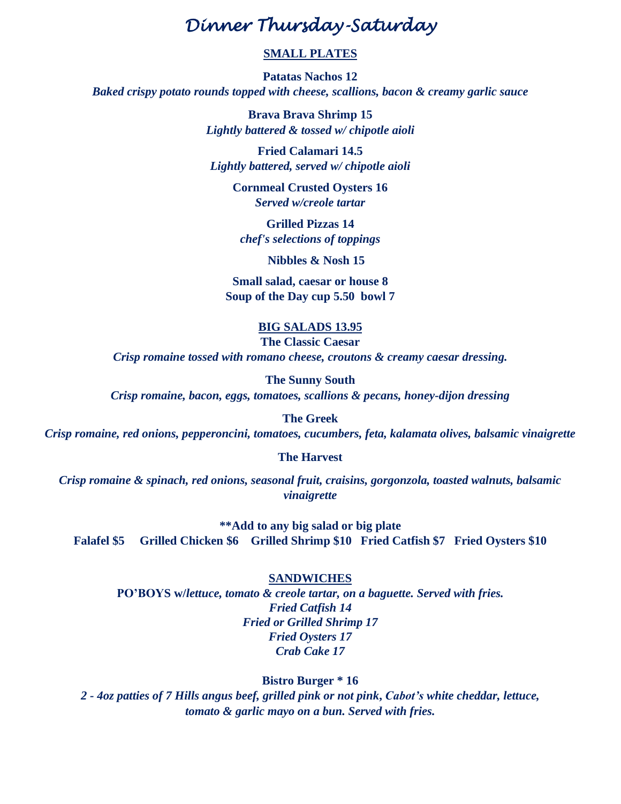# *Dinner Thursday-Saturday*

# **SMALL PLATES**

**Patatas Nachos 12** *Baked crispy potato rounds topped with cheese, scallions, bacon & creamy garlic sauce*

> **Brava Brava Shrimp 15** *Lightly battered & tossed w/ chipotle aioli*

**Fried Calamari 14.5** *Lightly battered, served w/ chipotle aioli*

> **Cornmeal Crusted Oysters 16** *Served w/creole tartar*

**Grilled Pizzas 14** *chef's selections of toppings*

 **Nibbles & Nosh 15**

**Small salad, caesar or house 8 Soup of the Day cup 5.50 bowl 7**

# **BIG SALADS 13.95**

**The Classic Caesar** *Crisp romaine tossed with romano cheese, croutons & creamy caesar dressing.*

**The Sunny South** *Crisp romaine, bacon, eggs, tomatoes, scallions & pecans, honey-dijon dressing*

**The Greek** *Crisp romaine, red onions, pepperoncini, tomatoes, cucumbers, feta, kalamata olives, balsamic vinaigrette*

**The Harvest**

*Crisp romaine & spinach, red onions, seasonal fruit, craisins, gorgonzola, toasted walnuts, balsamic vinaigrette*

**\*\*Add to any big salad or big plate Falafel \$5 Grilled Chicken \$6 Grilled Shrimp \$10 Fried Catfish \$7 Fried Oysters \$10**

#### **SANDWICHES**

**PO'BOYS w/***lettuce, tomato & creole tartar, on a baguette. Served with fries. Fried Catfish 14 Fried or Grilled Shrimp 17 Fried Oysters 17 Crab Cake 17*

# **Bistro Burger \* 16**

*2 - 4oz patties of 7 Hills angus beef, grilled pink or not pink***,** *Cabot's white cheddar, lettuce, tomato & garlic mayo on a bun. Served with fries.*